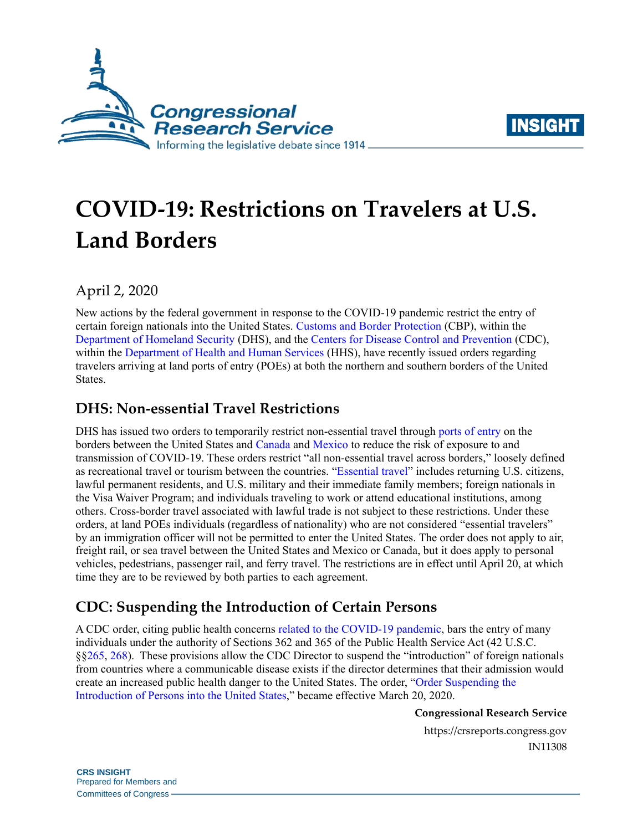



# **COVID-19: Restrictions on Travelers at U.S. Land Borders**

April 2, 2020

New actions by the federal government in response to the COVID-19 pandemic restrict the entry of certain foreign nationals into the United States. [Customs and Border Protection](https://www.cbp.gov/) (CBP), within the [Department of Homeland Security](https://www.dhs.gov/) (DHS), and the [Centers for Disease Control and Prevention](https://www.cdc.gov/) (CDC), within the [Department of Health and Human Services](https://www.hhs.gov/) (HHS), have recently issued orders regarding travelers arriving at land ports of entry (POEs) at both the northern and southern borders of the United States.

# **DHS: Non-essential Travel Restrictions**

DHS has issued two orders to temporarily restrict non-essential travel through [ports of entry](https://www.cbp.gov/contact/ports) on the borders between the United States and [Canada](https://www.govinfo.gov/content/pkg/FR-2020-03-24/pdf/2020-06217.pdf) and [Mexico](https://www.govinfo.gov/content/pkg/FR-2020-03-24/pdf/2020-06253.pdf) to reduce the risk of exposure to and transmission of COVID-19. These orders restrict "all non-essential travel across borders," loosely defined as recreational travel or tourism between the countries. ["Essential travel"](https://www.govinfo.gov/content/pkg/FR-2020-03-24/pdf/2020-06217.pdf#page=2) includes returning U.S. citizens, lawful permanent residents, and U.S. military and their immediate family members; foreign nationals in the Visa Waiver Program; and individuals traveling to work or attend educational institutions, among others. Cross-border travel associated with lawful trade is not subject to these restrictions. Under these orders, at land POEs individuals (regardless of nationality) who are not considered "essential travelers" by an immigration officer will not be permitted to enter the United States. The order does not apply to air, freight rail, or sea travel between the United States and Mexico or Canada, but it does apply to personal vehicles, pedestrians, passenger rail, and ferry travel. The restrictions are in effect until April 20, at which time they are to be reviewed by both parties to each agreement.

# **CDC: Suspending the Introduction of Certain Persons**

A CDC order, citing public health concerns [related to the COVID-19 pandemic,](https://www.govinfo.gov/content/pkg/FR-2020-03-26/pdf/2020-06327.pdf#page=8) bars the entry of many individuals under the authority of Sections 362 and 365 of the Public Health Service Act (42 U.S.C. §[§265,](https://www.govinfo.gov/content/pkg/USCODE-2011-title42/html/USCODE-2011-title42-chap6A-subchapII-partG-sec265.htm) [268\)](http://www.gpo.gov/fdsys/pkg/USCODE-2011-title42/html/USCODE-2011-title42-chap6A-subchapII-partG-sec268.htm). These provisions allow the CDC Director to suspend the "introduction" of foreign nationals from countries where a communicable disease exists if the director determines that their admission would create an increased public health danger to the United States. The order, ["Order Suspending the](https://www.govinfo.gov/content/pkg/FR-2020-03-26/pdf/2020-06327.pdf)  [Introduction of Persons into the United States,](https://www.govinfo.gov/content/pkg/FR-2020-03-26/pdf/2020-06327.pdf)" became effective March 20, 2020.

**Congressional Research Service**

https://crsreports.congress.gov IN11308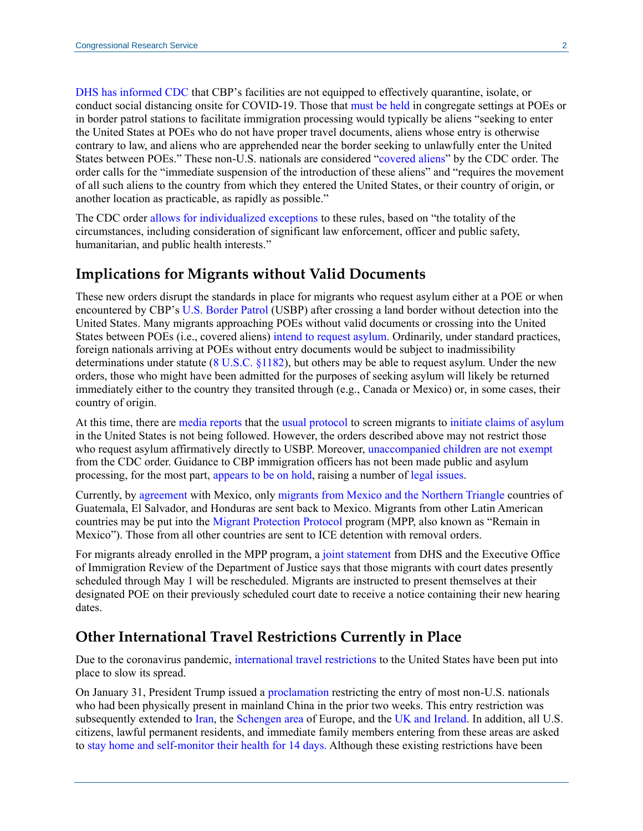[DHS has informed CDC](https://www.govinfo.gov/content/pkg/FR-2020-03-26/pdf/2020-06327.pdf#page=7) that CBP's facilities are not equipped to effectively quarantine, isolate, or conduct social distancing onsite for COVID-19. Those that [must be held](https://uscode.house.gov/view.xhtml?req=granuleid:USC-prelim-title8-section1225&num=0&edition=prelim) in congregate settings at POEs or in border patrol stations to facilitate immigration processing would typically be aliens "seeking to enter the United States at POEs who do not have proper travel documents, aliens whose entry is otherwise contrary to law, and aliens who are apprehended near the border seeking to unlawfully enter the United States between POEs." These non-U.S. nationals are considered ["covered aliens"](https://www.govinfo.gov/content/pkg/FR-2020-03-26/pdf/2020-06327.pdf#page=2) by the CDC order. The order calls for the "immediate suspension of the introduction of these aliens" and "requires the movement of all such aliens to the country from which they entered the United States, or their country of origin, or another location as practicable, as rapidly as possible."

The CDC order [allows for individualized exceptions](https://www.govinfo.gov/content/pkg/FR-2020-03-26/pdf/2020-06327.pdf#page=2) to these rules, based on "the totality of the circumstances, including consideration of significant law enforcement, officer and public safety, humanitarian, and public health interests."

#### **Implications for Migrants without Valid Documents**

These new orders disrupt the standards in place for migrants who request asylum either at a POE or when encountered by CBP'[s U.S. Border Patrol](https://www.cbp.gov/border-security/along-us-borders) (USBP) after crossing a land border without detection into the United States. Many migrants approaching POEs without valid documents or crossing into the United States between POEs (i.e., covered aliens) [intend to request asylum.](https://www.americanimmigrationcouncil.org/research/policies-affecting-asylum-seekers-border) Ordinarily, under standard practices, foreign nationals arriving at POEs without entry documents would be subject to inadmissibility determinations under statute [\(8 U.S.C. §1182\)](https://uscode.house.gov/view.xhtml?req=(title:8%20section:1182%20edition:prelim)%20OR%20(granuleid:USC-prelim-title8-section1182)&f=treesort&edition=prelim&num=0&jumpTo=true), but others may be able to request asylum. Under the new orders, those who might have been admitted for the purposes of seeking asylum will likely be returned immediately either to the country they transited through (e.g., Canada or Mexico) or, in some cases, their country of origin.

At this time, there are [media reports](https://www.foxnews.com/politics/unaccompanied-minors-border-coronavirus-strategy) that the [usual protocol](https://www.washingtonpost.com/immigration/coronavirus-immigration-border-96-minutes/2020/03/30/13af805c-72c5-11ea-ae50-7148009252e3_story.html) to screen migrants to [initiate claims of asylum](https://www.sandiegouniontribune.com/news/immigration/story/2020-03-26/coronavirus-stalls-asylum-system-and-exacerbates-conditions-of-migrants-waiting-in-mexico) in the United States is not being followed. However, the orders described above may not restrict those who request asylum affirmatively directly to USBP. Moreover, [unaccompanied children](https://www.law360.com/immigration/articles/1258424/migrant-kids-can-be-turned-back-under-new-border-rules?nl_pk=68f5abd0-48fb-4e9a-9069-cc9b2210b5bd&utm_source=newsletter&utm_medium=email&utm_campaign=immigration) are not exempt from the CDC order. Guidance to CBP immigration officers has not been made public and asylum processing, for the most part, [appears to be on hold,](https://www.nytimes.com/2020/03/20/us/politics/trump-border-coronavirus.html) raising a number of [legal issues.](https://crsreports.congress.gov/product/pdf/LSB/LSB10439)

Currently, by [agreement](https://www.state.gov/secretary-pompeos-call-with-mexican-foreign-secretary-marcelo-ebrard-2/) with Mexico, only [migrants from Mexico and the Northern Triangle](https://www.washingtonpost.com/immigration/coronavirus-immigration-border-96-minutes/2020/03/30/13af805c-72c5-11ea-ae50-7148009252e3_story.html) countries of Guatemala, El Salvador, and Honduras are sent back to Mexico. Migrants from other Latin American countries may be put into the [Migrant Protection Protocol](https://crsreports.congress.gov/product/pdf/LSB/LSB10420) program (MPP, also known as "Remain in Mexico"). Those from all other countries are sent to ICE detention with removal orders.

For migrants already enrolled in the MPP program, a [joint statement](https://www.dhs.gov/news/2020/04/01/joint-dhseoir-statement-mpp-rescheduling) from DHS and the Executive Office of Immigration Review of the Department of Justice says that those migrants with court dates presently scheduled through May 1 will be rescheduled. Migrants are instructed to present themselves at their designated POE on their previously scheduled court date to receive a notice containing their new hearing dates.

#### **Other International Travel Restrictions Currently in Place**

Due to the coronavirus pandemic, [international travel restrictions](https://crsreports.congress.gov/product/pdf/LSB/LSB10415) to the United States have been put into place to slow its spread.

On January 31, President Trump issued a [proclamation](https://www.whitehouse.gov/presidential-actions/proclamation-declaring-national-emergency-concerning-novel-coronavirus-disease-covid-19-outbreak/) restricting the entry of most non-U.S. nationals who had been physically present in mainland China in the prior two weeks. This entry restriction was subsequently extended to [Iran,](https://www.whitehouse.gov/presidential-actions/proclamation-suspension-entry-immigrants-nonimmigrants-certain-additional-persons-pose-risk-transmitting-coronavirus/) the [Schengen area](https://www.whitehouse.gov/presidential-actions/proclamation-suspension-entry-immigrants-nonimmigrants-certain-additional-persons-pose-risk-transmitting-2019-novel-coronavirus/) of Europe, and the [UK and Ireland.](https://www.whitehouse.gov/presidential-actions/proclamation-suspension-entry-immigrants-nonimmigrants-certain-additional-persons-pose-risk-transmitting-coronavirus-2/) In addition, all U.S. citizens, lawful permanent residents, and immediate family members entering from these areas are asked to [stay home and self-monitor their health for 14 days.](https://www.cdc.gov/coronavirus/2019-ncov/travelers/after-travel-precautions.html) Although these existing restrictions have been